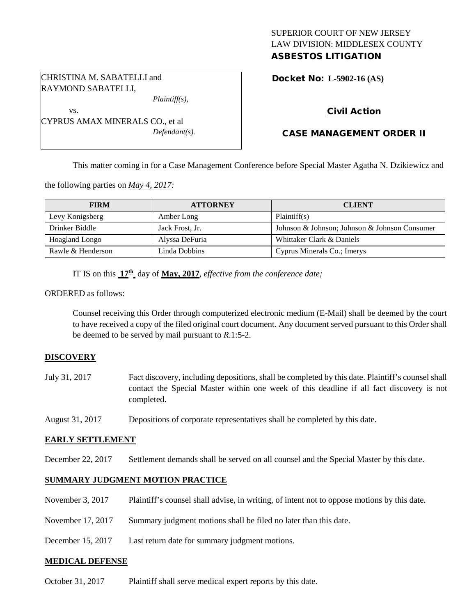# SUPERIOR COURT OF NEW JERSEY LAW DIVISION: MIDDLESEX COUNTY ASBESTOS LITIGATION

Docket No: **L-5902-16 (AS)** 

## Civil Action

# CASE MANAGEMENT ORDER II

This matter coming in for a Case Management Conference before Special Master Agatha N. Dzikiewicz and

the following parties on *May 4, 2017:*

| <b>FIRM</b>       | <b>ATTORNEY</b> | <b>CLIENT</b>                                 |
|-------------------|-----------------|-----------------------------------------------|
| Levy Konigsberg   | Amber Long      | Plaintiff(s)                                  |
| Drinker Biddle    | Jack Frost, Jr. | Johnson & Johnson; Johnson & Johnson Consumer |
| Hoagland Longo    | Alyssa DeFuria  | Whittaker Clark & Daniels                     |
| Rawle & Henderson | Linda Dobbins   | Cyprus Minerals Co.; Imerys                   |

IT IS on this **17th** day of **May, 2017**, *effective from the conference date;*

ORDERED as follows:

Counsel receiving this Order through computerized electronic medium (E-Mail) shall be deemed by the court to have received a copy of the filed original court document. Any document served pursuant to this Order shall be deemed to be served by mail pursuant to *R*.1:5-2.

### **DISCOVERY**

- July 31, 2017 Fact discovery, including depositions, shall be completed by this date. Plaintiff's counsel shall contact the Special Master within one week of this deadline if all fact discovery is not completed.
- August 31, 2017 Depositions of corporate representatives shall be completed by this date.

#### **EARLY SETTLEMENT**

December 22, 2017 Settlement demands shall be served on all counsel and the Special Master by this date.

#### **SUMMARY JUDGMENT MOTION PRACTICE**

- November 3, 2017 Plaintiff's counsel shall advise, in writing, of intent not to oppose motions by this date.
- November 17, 2017 Summary judgment motions shall be filed no later than this date.
- December 15, 2017 Last return date for summary judgment motions.

#### **MEDICAL DEFENSE**

October 31, 2017 Plaintiff shall serve medical expert reports by this date.

CHRISTINA M. SABATELLI and RAYMOND SABATELLI,

CYPRUS AMAX MINERALS CO., et al

vs.

*Plaintiff(s),*

*Defendant(s).*